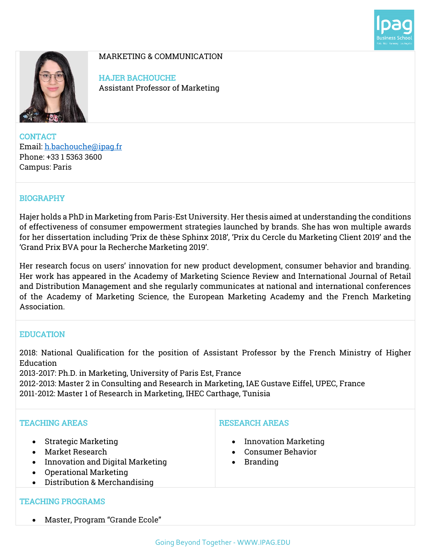



MARKETING & COMMUNICATION

HAJER BACHOUCHE Assistant Professor of Marketing

**CONTACT** Email: h.bachouche@ipag.fr Phone: +33 1 5363 3600 Campus: Paris

# BIOGRAPHY

Hajer holds a PhD in Marketing from Paris-Est University. Her thesis aimed at understanding the conditions of effectiveness of consumer empowerment strategies launched by brands. She has won multiple awards for her dissertation including 'Prix de thèse Sphinx 2018', 'Prix du Cercle du Marketing Client 2019' and the 'Grand Prix BVA pour la Recherche Marketing 2019'.

Her research focus on users' innovation for new product development, consumer behavior and branding. Her work has appeared in the Academy of Marketing Science Review and International Journal of Retail and Distribution Management and she regularly communicates at national and international conferences of the Academy of Marketing Science, the European Marketing Academy and the French Marketing Association.

## EDUCATION

2018: National Qualification for the position of Assistant Professor by the French Ministry of Higher Education

2013-2017: Ph.D. in Marketing, University of Paris Est, France

2012-2013: Master 2 in Consulting and Research in Marketing, IAE Gustave Eiffel, UPEC, France 2011-2012: Master 1 of Research in Marketing, IHEC Carthage, Tunisia

| <b>TEACHING AREAS</b>                                                                                                                             | <b>RESEARCH AREAS</b>                                                                           |
|---------------------------------------------------------------------------------------------------------------------------------------------------|-------------------------------------------------------------------------------------------------|
| <b>Strategic Marketing</b><br>Market Research<br>Innovation and Digital Marketing<br><b>Operational Marketing</b><br>Distribution & Merchandising | <b>Innovation Marketing</b><br>$\bullet$<br>• Consumer Behavior<br><b>Branding</b><br>$\bullet$ |
| <b>TEACHING PROGRAMS</b>                                                                                                                          |                                                                                                 |

• Master, Program "Grande Ecole"